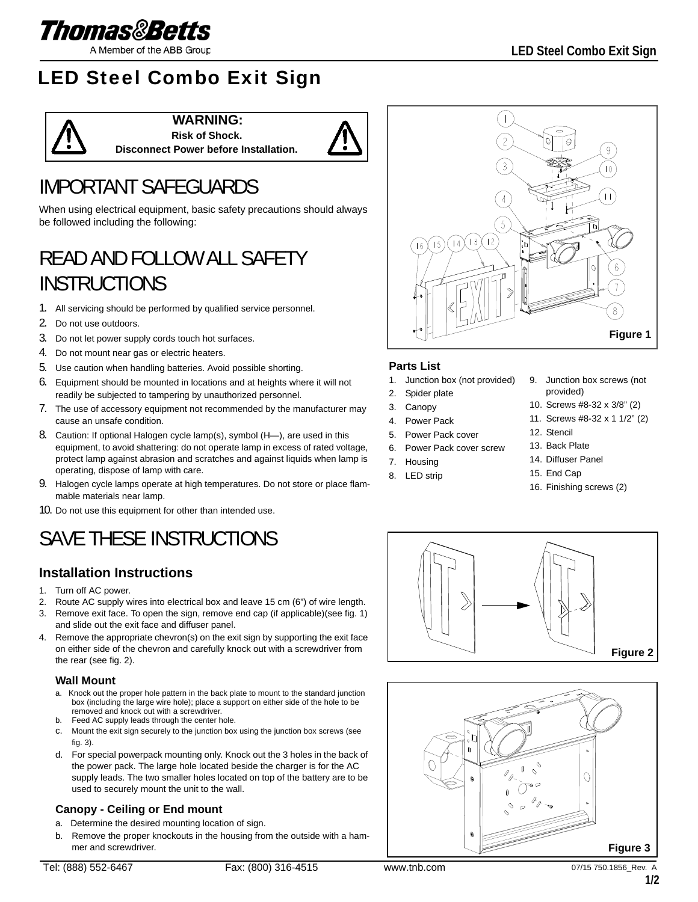

A Member of the ABB Group

## LED Steel Combo Exit Sign



**WARNING: Risk of Shock. Disconnect Power before Installation.**



## IMPORTANT SAFEGUARDS

When using electrical equipment, basic safety precautions should always be followed including the following:

## READ AND FOLLOW ALL SAFETY **INSTRUCTIONS**

- 1. All servicing should be performed by qualified service personnel.
- 2. Do not use outdoors.
- 3. Do not let power supply cords touch hot surfaces.
- 4. Do not mount near gas or electric heaters.
- 5. Use caution when handling batteries. Avoid possible shorting.
- 6. Equipment should be mounted in locations and at heights where it will not readily be subjected to tampering by unauthorized personnel.
- 7. The use of accessory equipment not recommended by the manufacturer may cause an unsafe condition.
- 8. Caution: If optional Halogen cycle lamp(s), symbol (H—), are used in this equipment, to avoid shattering: do not operate lamp in excess of rated voltage, protect lamp against abrasion and scratches and against liquids when lamp is operating, dispose of lamp with care.
- 9. Halogen cycle lamps operate at high temperatures. Do not store or place flammable materials near lamp.
- 10. Do not use this equipment for other than intended use.

# SAVE THESE INSTRUCTIONS

## **Installation Instructions**

- 1. Turn off AC power.
- 2. Route AC supply wires into electrical box and leave 15 cm (6") of wire length.
- 3. Remove exit face. To open the sign, remove end cap (if applicable)(see fig. 1) and slide out the exit face and diffuser panel.
- 4. Remove the appropriate chevron(s) on the exit sign by supporting the exit face on either side of the chevron and carefully knock out with a screwdriver from the rear (see fig. 2).

### **Wall Mount**

- a. Knock out the proper hole pattern in the back plate to mount to the standard junction box (including the large wire hole); place a support on either side of the hole to be removed and knock out with a screwdriver.
- b. Feed AC supply leads through the center hole.
- c. Mount the exit sign securely to the junction box using the junction box screws (see fig. 3).
- d. For special powerpack mounting only. Knock out the 3 holes in the back of the power pack. The large hole located beside the charger is for the AC supply leads. The two smaller holes located on top of the battery are to be used to securely mount the unit to the wall.

## **Canopy - Ceiling or End mount**

- a. Determine the desired mounting location of sign.
- b. Remove the proper knockouts in the housing from the outside with a hammer and screwdriver.



## **Parts List**

- 1. Junction box (not provided)
- 2. Spider plate
- 3. Canopy
- 4. Power Pack
- 5. Power Pack cover
- 6. Power Pack cover screw
- 7. Housing
- 8. LED strip
- 9. Junction box screws (not provided)
- 10. Screws #8-32 x 3/8" (2)
- 11. Screws #8-32 x 1 1/2" (2)
- 12. Stencil
- 13. Back Plate
- 14. Diffuser Panel
- 15. End Cap
- 16. Finishing screws (2)